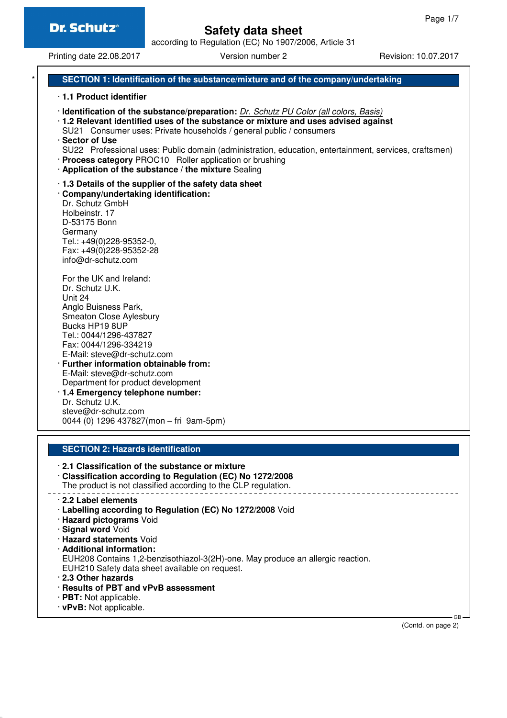according to Regulation (EC) No 1907/2006, Article 31

Printing date 22.08.2017 Version number 2 Revision: 10.07.2017

#### **SECTION 1: Identification of the substance/mixture and of the company/undertaking**

#### · **1.1 Product identifier**

- · **Identification of the substance/preparation:** Dr. Schutz PU Color (all colors, Basis)
- · **1.2 Relevant identified uses of the substance or mixture and uses advised against** SU21 Consumer uses: Private households / general public / consumers
- · **Sector of Use**
- SU22 Professional uses: Public domain (administration, education, entertainment, services, craftsmen)
- · **Process category** PROC10 Roller application or brushing
- · **Application of the substance / the mixture** Sealing
- · **1.3 Details of the supplier of the safety data sheet**

· **Company/undertaking identification:** Dr. Schutz GmbH Holbeinstr. 17 D-53175 Bonn Germany Tel.: +49(0)228-95352-0,

Fax: +49(0)228-95352-28 info@dr-schutz.com

For the UK and Ireland: Dr. Schutz U.K. Unit 24 Anglo Buisness Park, Smeaton Close Aylesbury Bucks HP19 8UP Tel.: 0044/1296-437827 Fax: 0044/1296-334219 E-Mail: steve@dr-schutz.com · **Further information obtainable from:** E-Mail: steve@dr-schutz.com

Department for product development

· **1.4 Emergency telephone number:** Dr. Schutz U.K. steve@dr-schutz.com 0044 (0) 1296 437827(mon – fri 9am-5pm)

#### **SECTION 2: Hazards identification**

- · **2.1 Classification of the substance or mixture**
- · **Classification according to Regulation (EC) No 1272/2008** The product is not classified according to the CLP regulation.

- · **2.2 Label elements**
- · **Labelling according to Regulation (EC) No 1272/2008** Void
- · **Hazard pictograms** Void
- · **Signal word** Void
- · **Hazard statements** Void
- · **Additional information:**

EUH208 Contains 1,2-benzisothiazol-3(2H)-one. May produce an allergic reaction. EUH210 Safety data sheet available on request.

- · **2.3 Other hazards**
- · **Results of PBT and vPvB assessment**
- · **PBT:** Not applicable.
- · **vPvB:** Not applicable.

(Contd. on page 2)

 $\sim$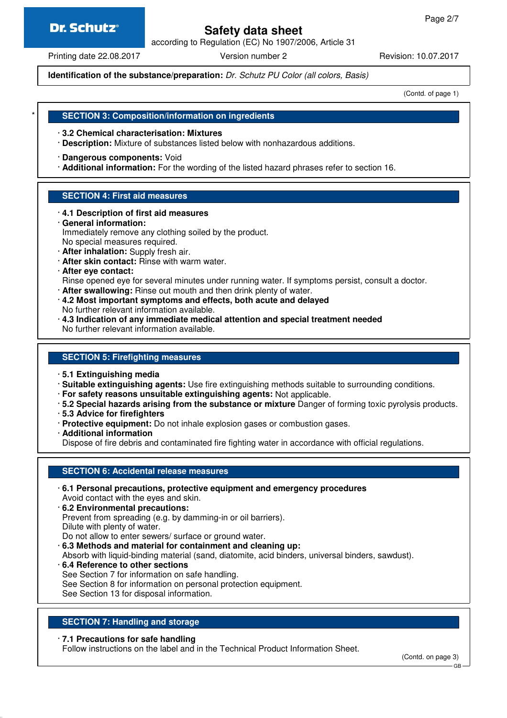## **Dr. Schutz®**

## **Safety data sheet**

according to Regulation (EC) No 1907/2006, Article 31

Printing date 22.08.2017 **Version number 2** Revision: 10.07.2017

**Identification of the substance/preparation:** Dr. Schutz PU Color (all colors, Basis)

(Contd. of page 1)

## \* **SECTION 3: Composition/information on ingredients**

- · **3.2 Chemical characterisation: Mixtures**
- · **Description:** Mixture of substances listed below with nonhazardous additions.
- · **Dangerous components:** Void
- · **Additional information:** For the wording of the listed hazard phrases refer to section 16.

## **SECTION 4: First aid measures**

- · **4.1 Description of first aid measures**
- · **General information:** Immediately remove any clothing soiled by the product. No special measures required. · **After inhalation:** Supply fresh air.
- · **After skin contact:** Rinse with warm water.
- · **After eye contact:**
- Rinse opened eye for several minutes under running water. If symptoms persist, consult a doctor.
- · **After swallowing:** Rinse out mouth and then drink plenty of water.
- · **4.2 Most important symptoms and effects, both acute and delayed**
- No further relevant information available.
- · **4.3 Indication of any immediate medical attention and special treatment needed** No further relevant information available.

## **SECTION 5: Firefighting measures**

- · **5.1 Extinguishing media**
- · **Suitable extinguishing agents:** Use fire extinguishing methods suitable to surrounding conditions.
- · **For safety reasons unsuitable extinguishing agents:** Not applicable.
- · **5.2 Special hazards arising from the substance or mixture** Danger of forming toxic pyrolysis products.
- · **5.3 Advice for firefighters**
- · **Protective equipment:** Do not inhale explosion gases or combustion gases.
- · **Additional information**

Dispose of fire debris and contaminated fire fighting water in accordance with official regulations.

### **SECTION 6: Accidental release measures**

- · **6.1 Personal precautions, protective equipment and emergency procedures** Avoid contact with the eyes and skin.
- · **6.2 Environmental precautions:** Prevent from spreading (e.g. by damming-in or oil barriers). Dilute with plenty of water.
- Do not allow to enter sewers/ surface or ground water.
- · **6.3 Methods and material for containment and cleaning up:**
- Absorb with liquid-binding material (sand, diatomite, acid binders, universal binders, sawdust).
- · **6.4 Reference to other sections** See Section 7 for information on safe handling. See Section 8 for information on personal protection equipment. See Section 13 for disposal information.

## **SECTION 7: Handling and storage**

### · **7.1 Precautions for safe handling**

Follow instructions on the label and in the Technical Product Information Sheet.

(Contd. on page 3)

GB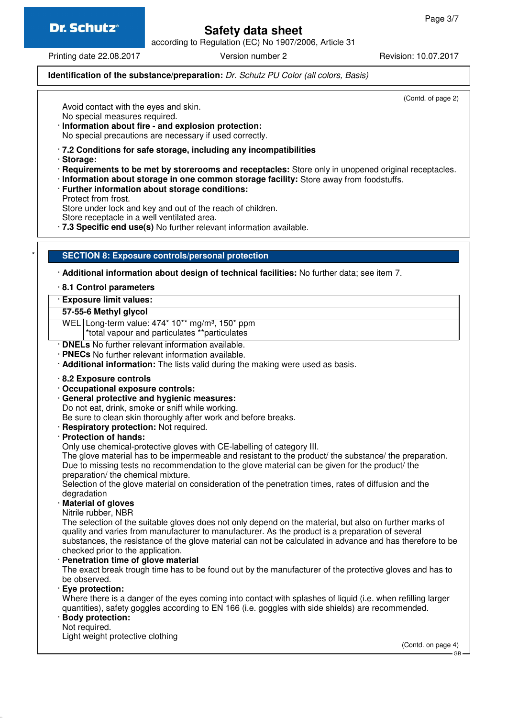according to Regulation (EC) No 1907/2006, Article 31

Printing date 22.08.2017 Version number 2 Revision: 10.07.2017

#### **Identification of the substance/preparation:** Dr. Schutz PU Color (all colors, Basis)

(Contd. of page 2)

Avoid contact with the eyes and skin. No special measures required.

- · **Information about fire and explosion protection:** No special precautions are necessary if used correctly.
- · **7.2 Conditions for safe storage, including any incompatibilities**
- · **Storage:**
- · **Requirements to be met by storerooms and receptacles:** Store only in unopened original receptacles.
- · **Information about storage in one common storage facility:** Store away from foodstuffs.
- · **Further information about storage conditions:**
- Protect from frost.

Store under lock and key and out of the reach of children.

Store receptacle in a well ventilated area.

· **7.3 Specific end use(s)** No further relevant information available.

#### \* **SECTION 8: Exposure controls/personal protection**

· **Additional information about design of technical facilities:** No further data; see item 7.

#### · **8.1 Control parameters**

#### · **Exposure limit values:**

**57-55-6 Methyl glycol**

WEL Long-term value: 474\* 10\*\* mg/m<sup>3</sup>, 150\* ppm

\*total vapour and particulates \*\*particulates

- · **DNELs** No further relevant information available.
- · **PNECs** No further relevant information available.
- · **Additional information:** The lists valid during the making were used as basis.
- · **8.2 Exposure controls**
- · **Occupational exposure controls:**
- · **General protective and hygienic measures:**
- Do not eat, drink, smoke or sniff while working. Be sure to clean skin thoroughly after work and before breaks.
- · **Respiratory protection:** Not required.

#### · **Protection of hands:**

Only use chemical-protective gloves with CE-labelling of category III.

The glove material has to be impermeable and resistant to the product/ the substance/ the preparation. Due to missing tests no recommendation to the glove material can be given for the product/ the preparation/ the chemical mixture.

Selection of the glove material on consideration of the penetration times, rates of diffusion and the degradation

· **Material of gloves**

Nitrile rubber, NBR

The selection of the suitable gloves does not only depend on the material, but also on further marks of quality and varies from manufacturer to manufacturer. As the product is a preparation of several substances, the resistance of the glove material can not be calculated in advance and has therefore to be checked prior to the application.

· **Penetration time of glove material**

The exact break trough time has to be found out by the manufacturer of the protective gloves and has to be observed.

· **Eye protection:**

Where there is a danger of the eyes coming into contact with splashes of liquid (i.e. when refilling larger quantities), safety goggles according to EN 166 (i.e. goggles with side shields) are recommended.

#### · **Body protection:**

Not required.

Light weight protective clothing

(Contd. on page 4)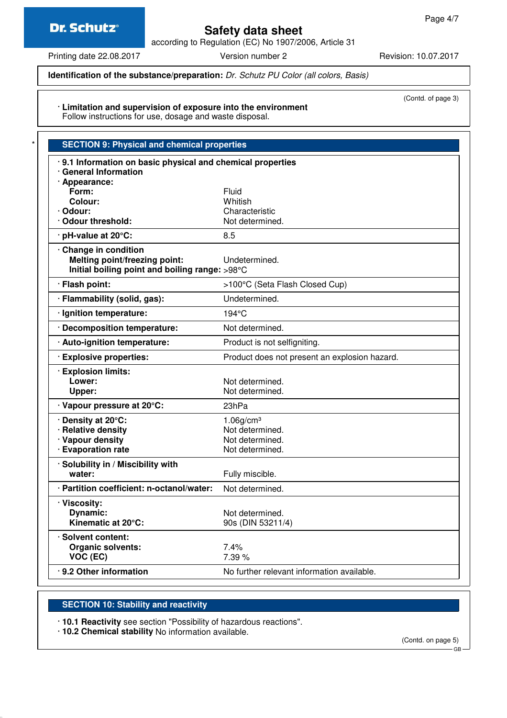## **Dr. Schutz®**

## **Safety data sheet**

according to Regulation (EC) No 1907/2006, Article 31

Printing date 22.08.2017 Version number 2 Revision: 10.07.2017

(Contd. of page 3)

#### **Identification of the substance/preparation:** Dr. Schutz PU Color (all colors, Basis)

· **Limitation and supervision of exposure into the environment** Follow instructions for use, dosage and waste disposal.

| <b>SECTION 9: Physical and chemical properties</b>        |                                               |  |
|-----------------------------------------------------------|-----------------------------------------------|--|
| 9.1 Information on basic physical and chemical properties |                                               |  |
| · General Information                                     |                                               |  |
| · Appearance:<br>Form:                                    | Fluid                                         |  |
|                                                           |                                               |  |
| Colour:                                                   | Whitish                                       |  |
| · Odour:<br>· Odour threshold:                            | Characteristic<br>Not determined.             |  |
|                                                           |                                               |  |
| · pH-value at 20°C:                                       | 8.5                                           |  |
| Change in condition                                       |                                               |  |
| <b>Melting point/freezing point:</b>                      | Undetermined.                                 |  |
| Initial boiling point and boiling range: >98°C            |                                               |  |
| · Flash point:                                            | >100°C (Seta Flash Closed Cup)                |  |
| · Flammability (solid, gas):                              | Undetermined.                                 |  |
| · Ignition temperature:                                   | $194^{\circ}$ C                               |  |
| · Decomposition temperature:                              | Not determined.                               |  |
| · Auto-ignition temperature:                              | Product is not selfigniting.                  |  |
| <b>Explosive properties:</b>                              | Product does not present an explosion hazard. |  |
| · Explosion limits:                                       |                                               |  |
| Lower:                                                    | Not determined.                               |  |
| Upper:                                                    | Not determined.                               |  |
| · Vapour pressure at 20°C:                                | 23hPa                                         |  |
| Density at 20°C:                                          | $1.06$ g/cm <sup>3</sup>                      |  |
| · Relative density                                        | Not determined.                               |  |
| · Vapour density                                          | Not determined.                               |  |
| · Evaporation rate                                        | Not determined.                               |  |
| · Solubility in / Miscibility with                        |                                               |  |
| water:                                                    | Fully miscible.                               |  |
| · Partition coefficient: n-octanol/water:                 | Not determined.                               |  |
| · Viscosity:                                              |                                               |  |
| Dynamic:                                                  | Not determined.                               |  |
| Kinematic at 20°C:                                        | 90s (DIN 53211/4)                             |  |
| · Solvent content:                                        |                                               |  |
| <b>Organic solvents:</b>                                  | 7.4%                                          |  |
| VOC (EC)                                                  | 7.39 %                                        |  |
| 9.2 Other information                                     | No further relevant information available.    |  |
|                                                           |                                               |  |

### **SECTION 10: Stability and reactivity**

· **10.1 Reactivity** see section "Possibility of hazardous reactions".

· **10.2 Chemical stability** No information available.

(Contd. on page 5)

GB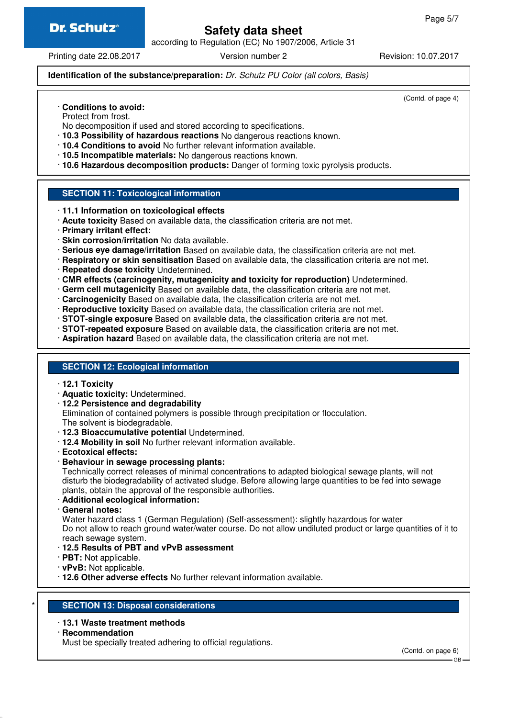according to Regulation (EC) No 1907/2006, Article 31

Printing date 22.08.2017 **Version number 2** Revision: 10.07.2017

(Contd. of page 4)

#### **Identification of the substance/preparation:** Dr. Schutz PU Color (all colors, Basis)

· **Conditions to avoid:**

Protect from frost.

No decomposition if used and stored according to specifications.

- · **10.3 Possibility of hazardous reactions** No dangerous reactions known.
- · **10.4 Conditions to avoid** No further relevant information available.
- · **10.5 Incompatible materials:** No dangerous reactions known.
- · **10.6 Hazardous decomposition products:** Danger of forming toxic pyrolysis products.

#### **SECTION 11: Toxicological information**

- · **11.1 Information on toxicological effects**
- · **Acute toxicity** Based on available data, the classification criteria are not met.
- · **Primary irritant effect:**
- · **Skin corrosion/irritation** No data available.
- · **Serious eye damage/irritation** Based on available data, the classification criteria are not met.
- · **Respiratory or skin sensitisation** Based on available data, the classification criteria are not met.
- · **Repeated dose toxicity** Undetermined.
- · **CMR effects (carcinogenity, mutagenicity and toxicity for reproduction)** Undetermined.
- · **Germ cell mutagenicity** Based on available data, the classification criteria are not met.
- · **Carcinogenicity** Based on available data, the classification criteria are not met.
- · **Reproductive toxicity** Based on available data, the classification criteria are not met.
- · **STOT-single exposure** Based on available data, the classification criteria are not met.
- · **STOT-repeated exposure** Based on available data, the classification criteria are not met.
- · **Aspiration hazard** Based on available data, the classification criteria are not met.

#### **SECTION 12: Ecological information**

- · **12.1 Toxicity**
- · **Aquatic toxicity:** Undetermined.
- · **12.2 Persistence and degradability**

Elimination of contained polymers is possible through precipitation or flocculation. The solvent is biodegradable.

- · **12.3 Bioaccumulative potential** Undetermined.
- · **12.4 Mobility in soil** No further relevant information available.
- · **Ecotoxical effects:**
- · **Behaviour in sewage processing plants:**

Technically correct releases of minimal concentrations to adapted biological sewage plants, will not disturb the biodegradability of activated sludge. Before allowing large quantities to be fed into sewage plants, obtain the approval of the responsible authorities.

- · **Additional ecological information:**
- · **General notes:**

Water hazard class 1 (German Regulation) (Self-assessment): slightly hazardous for water Do not allow to reach ground water/water course. Do not allow undiluted product or large quantities of it to reach sewage system.

- · **12.5 Results of PBT and vPvB assessment**
- · **PBT:** Not applicable.
- · **vPvB:** Not applicable.
- · **12.6 Other adverse effects** No further relevant information available.

#### **SECTION 13: Disposal considerations**

#### · **13.1 Waste treatment methods**

· **Recommendation**

Must be specially treated adhering to official regulations.

(Contd. on page 6)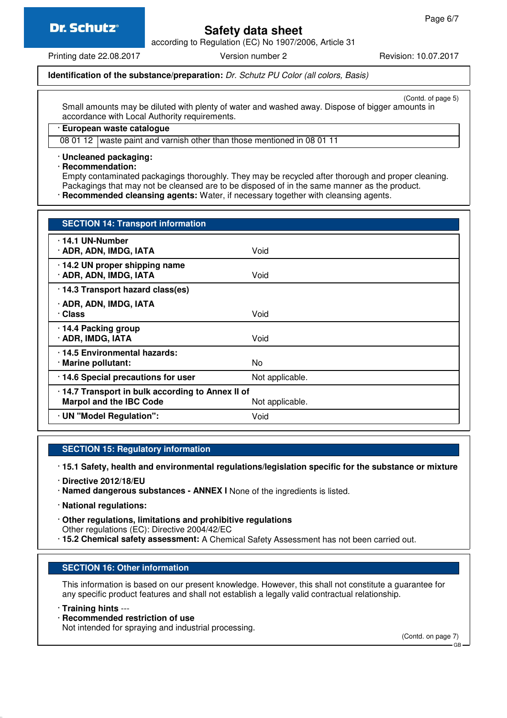## **Dr. Schutz®**

## **Safety data sheet**

according to Regulation (EC) No 1907/2006, Article 31

Printing date 22.08.2017 Version number 2 Revision: 10.07.2017

#### **Identification of the substance/preparation:** Dr. Schutz PU Color (all colors, Basis)

(Contd. of page 5)

Small amounts may be diluted with plenty of water and washed away. Dispose of bigger amounts in accordance with Local Authority requirements.

#### · **European waste catalogue**

08 01 12 waste paint and varnish other than those mentioned in 08 01 11

#### · **Uncleaned packaging:**

· **Recommendation:**

Empty contaminated packagings thoroughly. They may be recycled after thorough and proper cleaning. Packagings that may not be cleansed are to be disposed of in the same manner as the product. · **Recommended cleansing agents:** Water, if necessary together with cleansing agents.

| <b>SECTION 14: Transport information</b>                                                               |                 |  |
|--------------------------------------------------------------------------------------------------------|-----------------|--|
| $\cdot$ 14.1 UN-Number<br>· ADR, ADN, IMDG, IATA                                                       | Void            |  |
| · 14.2 UN proper shipping name<br>· ADR, ADN, IMDG, IATA                                               | Void            |  |
| · 14.3 Transport hazard class(es)                                                                      |                 |  |
| · ADR, ADN, IMDG, IATA<br>· Class                                                                      | Void            |  |
| 14.4 Packing group<br>· ADR, IMDG, IATA                                                                | Void            |  |
| 14.5 Environmental hazards:<br>· Marine pollutant:                                                     | No.             |  |
| · 14.6 Special precautions for user                                                                    | Not applicable. |  |
| · 14.7 Transport in bulk according to Annex II of<br><b>Marpol and the IBC Code</b><br>Not applicable. |                 |  |
| · UN "Model Regulation":                                                                               | Void            |  |

#### **SECTION 15: Regulatory information**

· **15.1 Safety, health and environmental regulations/legislation specific for the substance or mixture**

- · **Directive 2012/18/EU**
- · **Named dangerous substances ANNEX I** None of the ingredients is listed.
- · **National regulations:**
- · **Other regulations, limitations and prohibitive regulations** Other regulations (EC): Directive 2004/42/EC · **15.2 Chemical safety assessment:** A Chemical Safety Assessment has not been carried out.

#### **SECTION 16: Other information**

This information is based on our present knowledge. However, this shall not constitute a guarantee for any specific product features and shall not establish a legally valid contractual relationship.

- · **Training hints** ---
- · **Recommended restriction of use**

Not intended for spraying and industrial processing.

(Contd. on page 7)

GB